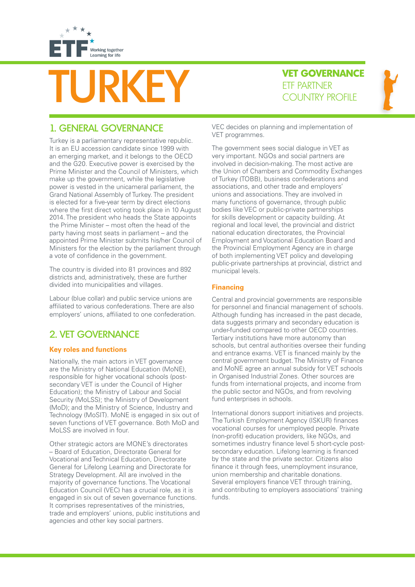

# URKEY **VET GOVERNANG**<br>ETF PARTNER<br>COUNTRY PROFILE

**VET GOVERNANCE**



## 1. GENERAL GOVERNANCE

Turkey is a parliamentary representative republic. It is an EU accession candidate since 1999 with an emerging market, and it belongs to the OECD and the G20. Executive power is exercised by the Prime Minister and the Council of Ministers, which make up the government, while the legislative power is vested in the unicameral parliament, the Grand National Assembly of Turkey. The president is elected for a five-year term by direct elections where the first direct voting took place in 10 August 2014. The president who heads the State appoints the Prime Minister – most often the head of the party having most seats in parliament – and the appointed Prime Minister submits his/her Council of Ministers for the election by the parliament through a vote of confidence in the government.

The country is divided into 81 provinces and 892 districts and, administratively, these are further divided into municipalities and villages.

Labour (blue collar) and public service unions are affiliated to various confederations. There are also employers' unions, affiliated to one confederation.

## 2. VET GOVERNANCE

### **Key roles and functions**

Nationally, the main actors in VET governance are the Ministry of National Education (MoNE), responsible for higher vocational schools (postsecondary VET is under the Council of Higher Education); the Ministry of Labour and Social Security (MoLSS); the Ministry of Development (MoD); and the Ministry of Science, Industry and Technology (MoSIT). MoNE is engaged in six out of seven functions of VET governance. Both MoD and MoLSS are involved in four.

Other strategic actors are MONE's directorates – Board of Education, Directorate General for Vocational and Technical Education, Directorate General for Lifelong Learning and Directorate for Strategy Development. All are involved in the majority of governance functions. The Vocational Education Council (VEC) has a crucial role, as it is engaged in six out of seven governance functions. It comprises representatives of the ministries, trade and employers' unions, public institutions and agencies and other key social partners.

VEC decides on planning and implementation of VET programmes.

The government sees social dialogue in VET as very important. NGOs and social partners are involved in decision-making. The most active are the Union of Chambers and Commodity Exchanges of Turkey (TOBB), business confederations and associations, and other trade and employers' unions and associations. They are involved in many functions of governance, through public bodies like VEC or public-private partnerships for skills development or capacity building. At regional and local level, the provincial and district national education directorates, the Provincial Employment and Vocational Education Board and the Provincial Employment Agency are in charge of both implementing VET policy and developing public-private partnerships at provincial, district and municipal levels.

## **Financing**

Central and provincial governments are responsible for personnel and financial management of schools. Although funding has increased in the past decade, data suggests primary and secondary education is under-funded compared to other OECD countries. Tertiary institutions have more autonomy than schools, but central authorities oversee their funding and entrance exams. VET is financed mainly by the central government budget. The Ministry of Finance and MoNE agree an annual subsidy for VET schools in Organised Industrial Zones. Other sources are funds from international projects, and income from the public sector and NGOs, and from revolving fund enterprises in schools.

International donors support initiatives and projects. The Turkish Employment Agency (ISKUR) finances vocational courses for unemployed people. Private (non-profit) education providers, like NGOs, and sometimes industry finance level 5 short-cycle postsecondary education. Lifelong learning is financed by the state and the private sector. Citizens also finance it through fees, unemployment insurance, union membership and charitable donations. Several employers finance VET through training, and contributing to employers associations' training funds.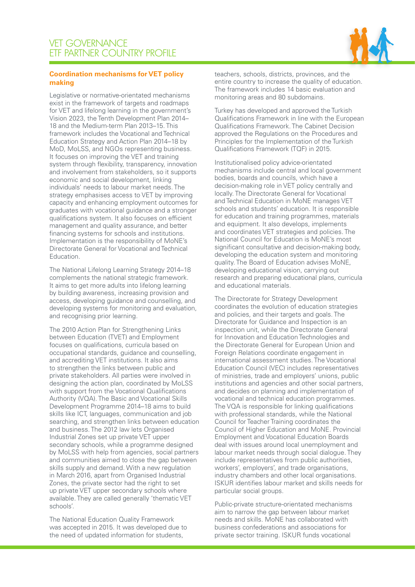

#### **Coordination mechanisms for VET policy making**

Legislative or normative-orientated mechanisms exist in the framework of targets and roadmaps for VET and lifelong learning in the government's Vision 2023, the Tenth Development Plan 2014– 18 and the Medium-term Plan 2013–15. This framework includes the Vocational and Technical Education Strategy and Action Plan 2014–18 by MoD, MoLSS, and NGOs representing business. It focuses on improving the VET and training system through flexibility, transparency, innovation and involvement from stakeholders, so it supports economic and social development, linking individuals' needs to labour market needs. The strategy emphasises access to VET by improving capacity and enhancing employment outcomes for graduates with vocational guidance and a stronger qualifications system. It also focuses on efficient management and quality assurance, and better financing systems for schools and institutions. Implementation is the responsibility of MoNE's Directorate General for Vocational and Technical Education.

The National Lifelong Learning Strategy 2014–18 complements the national strategic framework. It aims to get more adults into lifelong learning by building awareness, increasing provision and access, developing guidance and counselling, and developing systems for monitoring and evaluation, and recognising prior learning.

The 2010 Action Plan for Strengthening Links between Education (TVET) and Employment focuses on qualifications, curricula based on occupational standards, guidance and counselling, and accrediting VET institutions. It also aims to strengthen the links between public and private stakeholders. All parties were involved in designing the action plan, coordinated by MoLSS with support from the Vocational Qualifications Authority (VQA). The Basic and Vocational Skills Development Programme 2014–18 aims to build skills like ICT, languages, communication and job searching, and strengthen links between education and business. The 2012 law lets Organised Industrial Zones set up private VET upper secondary schools, while a programme designed by MoLSS with help from agencies, social partners and communities aimed to close the gap between skills supply and demand. With a new regulation in March 2016, apart from Organised Industrial Zones, the private sector had the right to set up private VET upper secondary schools where available. They are called generally 'thematic VET schools'.

The National Education Quality Framework was accepted in 2015. It was developed due to the need of updated information for students,

teachers, schools, districts, provinces, and the entire country to increase the quality of education. The framework includes 14 basic evaluation and monitoring areas and 80 subdomains.

Turkey has developed and approved the Turkish Qualifications Framework in line with the European Qualifications Framework. The Cabinet Decision approved the Regulations on the Procedures and Principles for the Implementation of the Turkish Qualifications Framework (TQF) in 2015.

Institutionalised policy advice-orientated mechanisms include central and local government bodies, boards and councils, which have a decision-making role in VET policy centrally and locally. The Directorate General for Vocational and Technical Education in MoNE manages VET schools and students' education. It is responsible for education and training programmes, materials and equipment. It also develops, implements and coordinates VET strategies and policies. The National Council for Education is MoNE's most significant consultative and decision-making body, developing the education system and monitoring quality. The Board of Education advises MoNE, developing educational vision, carrying out research and preparing educational plans, curricula and educational materials.

The Directorate for Strategy Development coordinates the evolution of education strategies and policies, and their targets and goals. The Directorate for Guidance and Inspection is an inspection unit, while the Directorate General for Innovation and Education Technologies and the Directorate General for European Union and Foreign Relations coordinate engagement in international assessment studies. The Vocational Education Council (VEC) includes representatives of ministries, trade and employers' unions, public institutions and agencies and other social partners, and decides on planning and implementation of vocational and technical education programmes. The VQA is responsible for linking qualifications with professional standards, while the National Council for Teacher Training coordinates the Council of Higher Education and MoNE. Provincial Employment and Vocational Education Boards deal with issues around local unemployment and labour market needs through social dialogue. They include representatives from public authorities, workers', employers', and trade organisations, industry chambers and other local organisations. ISKUR identifies labour market and skills needs for particular social groups.

Public-private structure-orientated mechanisms aim to narrow the gap between labour market needs and skills. MoNE has collaborated with business confederations and associations for private sector training. ISKUR funds vocational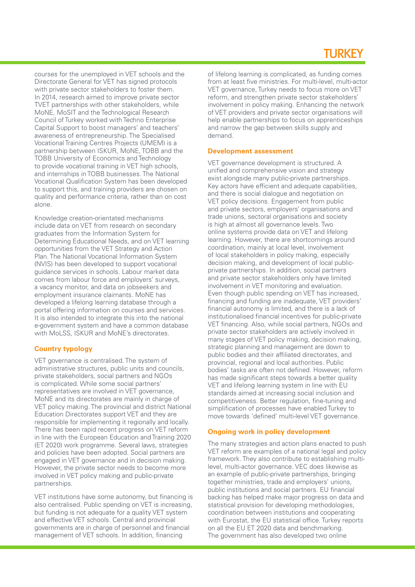# TI IRKFY

courses for the unemployed in VET schools and the Directorate General for VET has signed protocols with private sector stakeholders to foster them. In 2014, research aimed to improve private sector TVET partnerships with other stakeholders, while MoNE, MoSIT and the Technological Research Council of Turkey worked with Techno Enterprise Capital Support to boost managers' and teachers' awareness of entrepreneurship. The Specialised Vocational Training Centres Projects (UMEM) is a partnership between ISKUR, MoNE, TOBB and the TOBB University of Economics and Technology to provide vocational training in VET high schools, and internships in TOBB businesses. The National Vocational Qualification System has been developed to support this, and training providers are chosen on quality and performance criteria, rather than on cost alone.

Knowledge creation-orientated mechanisms include data on VET from research on secondary graduates from the Information System for Determining Educational Needs, and on VET learning opportunities from the VET Strategy and Action Plan. The National Vocational Information System (NVIS) has been developed to support vocational guidance services in schools. Labour market data comes from labour force and employers' surveys, a vacancy monitor, and data on jobseekers and employment insurance claimants. MoNE has developed a lifelong learning database through a portal offering information on courses and services. It is also intended to integrate this into the national e-government system and have a common database with MoLSS, ISKUR and MoNE's directorates.

#### **Country typology**

VET governance is centralised. The system of administrative structures, public units and councils, private stakeholders, social partners and NGOs is complicated. While some social partners' representatives are involved in VET governance, MoNE and its directorates are mainly in charge of VET policy making. The provincial and district National Education Directorates support VET and they are responsible for implementing it regionally and locally. There has been rapid recent progress on VET reform in line with the European Education and Training 2020 (ET 2020) work programme. Several laws, strategies and policies have been adopted. Social partners are engaged in VET governance and in decision making. However, the private sector needs to become more involved in VET policy making and public-private partnerships.

VET institutions have some autonomy, but financing is also centralised. Public spending on VET is increasing, but funding is not adequate for a quality VET system and effective VET schools. Central and provincial governments are in charge of personnel and financial management of VET schools. In addition, financing

of lifelong learning is complicated, as funding comes from at least five ministries. For multi-level, multi-actor VET governance, Turkey needs to focus more on VET reform, and strengthen private sector stakeholders' involvement in policy making. Enhancing the network of VET providers and private sector organisations will help enable partnerships to focus on apprenticeships and narrow the gap between skills supply and demand.

#### **Development assessment**

VET governance development is structured. A unified and comprehensive vision and strategy exist alongside many public-private partnerships. Key actors have efficient and adequate capabilities, and there is social dialogue and negotiation on VET policy decisions. Engagement from public and private sectors, employers' organisations and trade unions, sectoral organisations and society is high at almost all governance levels. Two online systems provide data on VET and lifelong learning. However, there are shortcomings around coordination, mainly at local level, involvement of local stakeholders in policy making, especially decision making, and development of local publicprivate partnerships. In addition, social partners and private sector stakeholders only have limited involvement in VET monitoring and evaluation. Even though public spending on VET has increased, financing and funding are inadequate, VET providers' financial autonomy is limited, and there is a lack of institutionalised financial incentives for public-private VET financing. Also, while social partners, NGOs and private sector stakeholders are actively involved in many stages of VET policy making, decision making, strategic planning and management are down to public bodies and their affiliated directorates, and provincial, regional and local authorities. Public bodies' tasks are often not defined. However, reform has made significant steps towards a better quality VET and lifelong learning system in line with EU standards aimed at increasing social inclusion and competitiveness. Better regulation, fine-tuning and simplification of processes have enabled Turkey to move towards 'defined' multi-level VET governance.

#### **Ongoing work in policy development**

The many strategies and action plans enacted to push VET reform are examples of a national legal and policy framework. They also contribute to establishing multilevel, multi-actor governance. VEC does likewise as an example of public-private partnerships, bringing together ministries, trade and employers' unions, public institutions and social partners. EU financial backing has helped make major progress on data and statistical provision for developing methodologies, coordination between institutions and cooperating with Eurostat, the EU statistical office. Turkey reports on all the EU ET 2020 data and benchmarking. The government has also developed two online